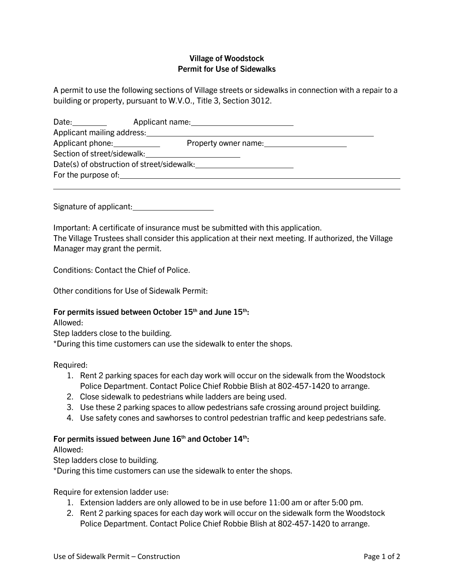## **Village of Woodstock Permit for Use of Sidewalks**

A permit to use the following sections of Village streets or sidewalks in connection with a repair to a building or property, pursuant to W.V.O., Title 3, Section 3012.

| Date: the controller controller controller controller controller controller controller controller controller controller controller controller controller controller controller controller controller controller controller con | Applicant name: New York Changes and Applicant name:                                                                                                                                                                           |  |
|--------------------------------------------------------------------------------------------------------------------------------------------------------------------------------------------------------------------------------|--------------------------------------------------------------------------------------------------------------------------------------------------------------------------------------------------------------------------------|--|
|                                                                                                                                                                                                                                | Applicant mailing address: 1997 1998                                                                                                                                                                                           |  |
| Applicant phone: 1992                                                                                                                                                                                                          | Property owner name: Network and the set of the set of the set of the set of the set of the set of the set of the set of the set of the set of the set of the set of the set of the set of the set of the set of the set of th |  |
|                                                                                                                                                                                                                                | Section of street/sidewalk:<br><u>Section</u> of street/sidewalk:                                                                                                                                                              |  |
|                                                                                                                                                                                                                                | Date(s) of obstruction of street/sidewalk:                                                                                                                                                                                     |  |
|                                                                                                                                                                                                                                | For the purpose of: <u>container and the purpose</u> of:                                                                                                                                                                       |  |
|                                                                                                                                                                                                                                |                                                                                                                                                                                                                                |  |

Signature of applicant:

Important: A certificate of insurance must be submitted with this application. The Village Trustees shall consider this application at their next meeting. If authorized, the Village Manager may grant the permit.

Conditions: Contact the Chief of Police.

Other conditions for Use of Sidewalk Permit:

## **For permits issued between October 15th and June 15th:**

Allowed:

Step ladders close to the building.

\*During this time customers can use the sidewalk to enter the shops.

Required:

- 1. Rent 2 parking spaces for each day work will occur on the sidewalk from the Woodstock Police Department. Contact Police Chief Robbie Blish at 802-457-1420 to arrange.
- 2. Close sidewalk to pedestrians while ladders are being used.
- 3. Use these 2 parking spaces to allow pedestrians safe crossing around project building.
- 4. Use safety cones and sawhorses to control pedestrian traffic and keep pedestrians safe.

## **For permits issued between June 16th and October 14th:**

Allowed:

Step ladders close to building.

\*During this time customers can use the sidewalk to enter the shops.

Require for extension ladder use:

- 1. Extension ladders are only allowed to be in use before 11:00 am or after 5:00 pm.
- 2. Rent 2 parking spaces for each day work will occur on the sidewalk form the Woodstock Police Department. Contact Police Chief Robbie Blish at 802-457-1420 to arrange.